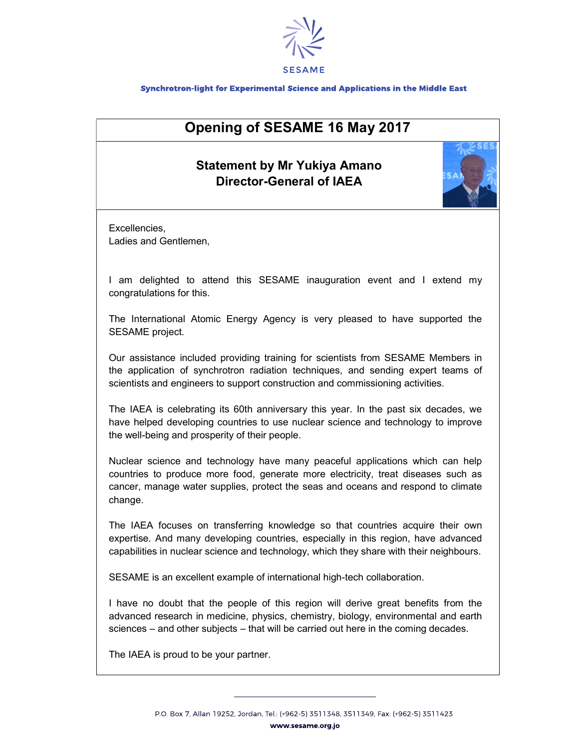

## Synchrotron-light for Experimental Science and Applications in the Middle East

## Opening of SESAME 16 May 2017

## Statement by Mr Yukiya Amano Director-General of IAEA



Excellencies, Ladies and Gentlemen,

I am delighted to attend this SESAME inauguration event and I extend my congratulations for this.

The International Atomic Energy Agency is very pleased to have supported the SESAME project.

Our assistance included providing training for scientists from SESAME Members in the application of synchrotron radiation techniques, and sending expert teams of scientists and engineers to support construction and commissioning activities.

The IAEA is celebrating its 60th anniversary this year. In the past six decades, we have helped developing countries to use nuclear science and technology to improve the well-being and prosperity of their people.

Nuclear science and technology have many peaceful applications which can help countries to produce more food, generate more electricity, treat diseases such as cancer, manage water supplies, protect the seas and oceans and respond to climate change.

The IAEA focuses on transferring knowledge so that countries acquire their own expertise. And many developing countries, especially in this region, have advanced capabilities in nuclear science and technology, which they share with their neighbours.

SESAME is an excellent example of international high-tech collaboration.

I have no doubt that the people of this region will derive great benefits from the advanced research in medicine, physics, chemistry, biology, environmental and earth sciences – and other subjects – that will be carried out here in the coming decades.

The IAEA is proud to be your partner.